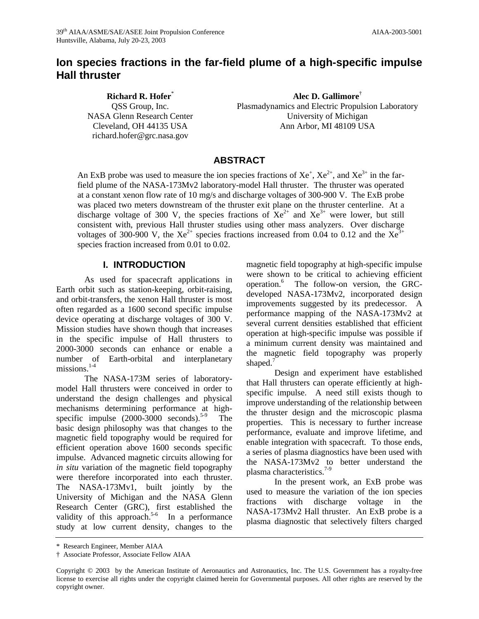# **Ion species fractions in the far-field plume of a high-specific impulse Hall thruster**

**Richard R. Hofer**\*

QSS Group, Inc. NASA Glenn Research Center Cleveland, OH 44135 USA richard.hofer@grc.nasa.gov

**Alec D. Gallimore**† Plasmadynamics and Electric Propulsion Laboratory University of Michigan Ann Arbor, MI 48109 USA

# **ABSTRACT**

An ExB probe was used to measure the ion species fractions of  $Xe^{+}$ ,  $Xe^{2+}$ , and  $Xe^{3+}$  in the farfield plume of the NASA-173Mv2 laboratory-model Hall thruster. The thruster was operated at a constant xenon flow rate of 10 mg/s and discharge voltages of 300-900 V. The ExB probe was placed two meters downstream of the thruster exit plane on the thruster centerline. At a discharge voltage of 300 V, the species fractions of  $Xe^{2+}$  and  $Xe^{3+}$  were lower, but still consistent with, previous Hall thruster studies using other mass analyzers. Over discharge voltages of 300-900 V, the  $Xe^{2+}$  species fractions increased from 0.04 to 0.12 and the  $Xe^{3+}$ species fraction increased from 0.01 to 0.02.

### **I. INTRODUCTION**

As used for spacecraft applications in Earth orbit such as station-keeping, orbit-raising, and orbit-transfers, the xenon Hall thruster is most often regarded as a 1600 second specific impulse device operating at discharge voltages of 300 V. Mission studies have shown though that increases in the specific impulse of Hall thrusters to 2000-3000 seconds can enhance or enable a number of Earth-orbital and interplanetary missions.<sup>1-4</sup>

The NASA-173M series of laboratorymodel Hall thrusters were conceived in order to understand the design challenges and physical mechanisms determining performance at highspecific impulse  $(2000-3000 \text{ seconds})^{5-9}$  The basic design philosophy was that changes to the magnetic field topography would be required for efficient operation above 1600 seconds specific impulse. Advanced magnetic circuits allowing for *in situ* variation of the magnetic field topography were therefore incorporated into each thruster. The NASA-173Mv1, built jointly by the University of Michigan and the NASA Glenn Research Center (GRC), first established the validity of this approach.<sup>5-6</sup> In a performance study at low current density, changes to the magnetic field topography at high-specific impulse were shown to be critical to achieving efficient operation.<sup>6</sup> The follow-on version, the GRCdeveloped NASA-173Mv2, incorporated design improvements suggested by its predecessor. A performance mapping of the NASA-173Mv2 at several current densities established that efficient operation at high-specific impulse was possible if a minimum current density was maintained and the magnetic field topography was properly shaped.<sup>7</sup>

Design and experiment have established that Hall thrusters can operate efficiently at highspecific impulse. A need still exists though to improve understanding of the relationship between the thruster design and the microscopic plasma properties. This is necessary to further increase performance, evaluate and improve lifetime, and enable integration with spacecraft. To those ends, a series of plasma diagnostics have been used with the NASA-173Mv2 to better understand the plasma characteristics.<sup>7-9</sup>

In the present work, an ExB probe was used to measure the variation of the ion species fractions with discharge voltage in the NASA-173Mv2 Hall thruster. An ExB probe is a plasma diagnostic that selectively filters charged

<sup>\*</sup> Research Engineer, Member AIAA

<sup>†</sup> Associate Professor, Associate Fellow AIAA

Copyright © 2003 by the American Institute of Aeronautics and Astronautics, Inc. The U.S. Government has a royalty-free license to exercise all rights under the copyright claimed herein for Governmental purposes. All other rights are reserved by the copyright owner.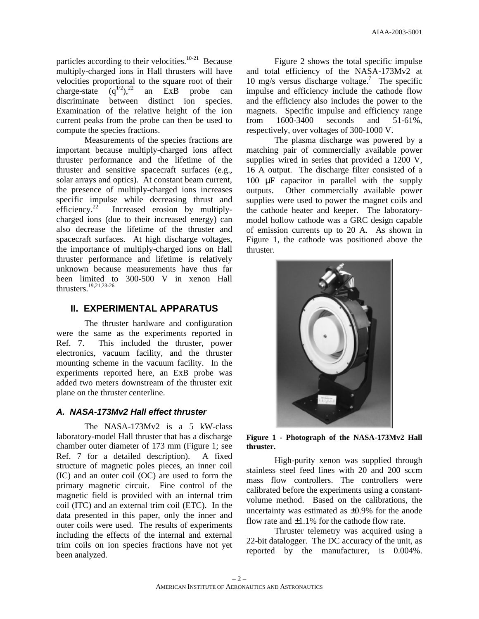particles according to their velocities. $10-21$  Because multiply-charged ions in Hall thrusters will have velocities proportional to the square root of their<br>charge-state  $(q^{1/2})$ ,  $q^{2/2}$  an ExB probe can charge-state  $(q^{1/2})$ ,  $(2^2)$  an ExB probe can discriminate between distinct ion species. Examination of the relative height of the ion current peaks from the probe can then be used to compute the species fractions.

Measurements of the species fractions are important because multiply-charged ions affect thruster performance and the lifetime of the thruster and sensitive spacecraft surfaces (e.g., solar arrays and optics). At constant beam current, the presence of multiply-charged ions increases specific impulse while decreasing thrust and efficiency.<sup>22</sup> Increased erosion by multiplycharged ions (due to their increased energy) can also decrease the lifetime of the thruster and spacecraft surfaces. At high discharge voltages, the importance of multiply-charged ions on Hall thruster performance and lifetime is relatively unknown because measurements have thus far been limited to 300-500 V in xenon Hall thrusters.19,21,23-26

# **II. EXPERIMENTAL APPARATUS**

The thruster hardware and configuration were the same as the experiments reported in Ref. 7. This included the thruster, power electronics, vacuum facility, and the thruster mounting scheme in the vacuum facility. In the experiments reported here, an ExB probe was added two meters downstream of the thruster exit plane on the thruster centerline.

### *A. NASA-173Mv2 Hall effect thruster*

The NASA-173Mv2 is a 5 kW-class laboratory-model Hall thruster that has a discharge chamber outer diameter of 173 mm (Figure 1; see Ref. 7 for a detailed description). A fixed structure of magnetic poles pieces, an inner coil (IC) and an outer coil (OC) are used to form the primary magnetic circuit. Fine control of the magnetic field is provided with an internal trim coil (ITC) and an external trim coil (ETC). In the data presented in this paper, only the inner and outer coils were used. The results of experiments including the effects of the internal and external trim coils on ion species fractions have not yet been analyzed.

Figure 2 shows the total specific impulse and total efficiency of the NASA-173Mv2 at 10 mg/s versus discharge voltage.<sup>7</sup> The specific impulse and efficiency include the cathode flow and the efficiency also includes the power to the magnets. Specific impulse and efficiency range from 1600-3400 seconds and 51-61%, respectively, over voltages of 300-1000 V.

The plasma discharge was powered by a matching pair of commercially available power supplies wired in series that provided a 1200 V, 16 A output. The discharge filter consisted of a 100 μF capacitor in parallel with the supply outputs. Other commercially available power supplies were used to power the magnet coils and the cathode heater and keeper. The laboratorymodel hollow cathode was a GRC design capable of emission currents up to 20 A. As shown in Figure 1, the cathode was positioned above the thruster.



**Figure 1 - Photograph of the NASA-173Mv2 Hall thruster.**

High-purity xenon was supplied through stainless steel feed lines with 20 and 200 sccm mass flow controllers. The controllers were calibrated before the experiments using a constantvolume method. Based on the calibrations, the uncertainty was estimated as ±0.9% for the anode flow rate and  $\pm 1.1\%$  for the cathode flow rate.

Thruster telemetry was acquired using a 22-bit datalogger. The DC accuracy of the unit, as reported by the manufacturer, is 0.004%.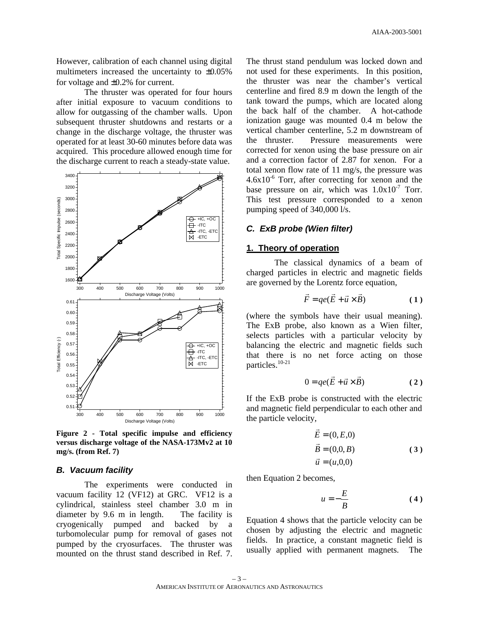However, calibration of each channel using digital multimeters increased the uncertainty to ±0.05% for voltage and ±0.2% for current.

The thruster was operated for four hours after initial exposure to vacuum conditions to allow for outgassing of the chamber walls. Upon subsequent thruster shutdowns and restarts or a change in the discharge voltage, the thruster was operated for at least 30-60 minutes before data was acquired. This procedure allowed enough time for the discharge current to reach a steady-state value.



**Figure 2 - Total specific impulse and efficiency versus discharge voltage of the NASA-173Mv2 at 10 mg/s. (from Ref. 7)**

#### *B. Vacuum facility*

The experiments were conducted in vacuum facility 12 (VF12) at GRC. VF12 is a cylindrical, stainless steel chamber 3.0 m in diameter by 9.6 m in length. The facility is cryogenically pumped and backed by a turbomolecular pump for removal of gases not pumped by the cryosurfaces. The thruster was mounted on the thrust stand described in Ref. 7.

The thrust stand pendulum was locked down and not used for these experiments. In this position, the thruster was near the chamber's vertical centerline and fired 8.9 m down the length of the tank toward the pumps, which are located along the back half of the chamber. A hot-cathode ionization gauge was mounted 0.4 m below the vertical chamber centerline, 5.2 m downstream of the thruster. Pressure measurements were corrected for xenon using the base pressure on air and a correction factor of 2.87 for xenon. For a total xenon flow rate of 11 mg/s, the pressure was  $4.6x10^{-6}$  Torr, after correcting for xenon and the base pressure on air, which was  $1.0x10^{-7}$  Torr. This test pressure corresponded to a xenon pumping speed of 340,000 l/s.

## *C. ExB probe (Wien filter)*

#### **1. Theory of operation**

The classical dynamics of a beam of charged particles in electric and magnetic fields are governed by the Lorentz force equation,

$$
\vec{F} = qe(\vec{E} + \vec{u} \times \vec{B})
$$
 (1)

(where the symbols have their usual meaning). The ExB probe, also known as a Wien filter, selects particles with a particular velocity by balancing the electric and magnetic fields such that there is no net force acting on those particles.<sup>10-21</sup>

$$
0 = qe(\vec{E} + \vec{u} \times \vec{B})
$$
 (2)

If the ExB probe is constructed with the electric and magnetic field perpendicular to each other and the particle velocity,

$$
\vec{E} = (0, E, 0) \n\vec{B} = (0, 0, B) \n\vec{u} = (u, 0, 0)
$$
\n(3)

then Equation 2 becomes,

$$
u = -\frac{E}{B} \tag{4}
$$

Equation 4 shows that the particle velocity can be chosen by adjusting the electric and magnetic fields. In practice, a constant magnetic field is usually applied with permanent magnets. The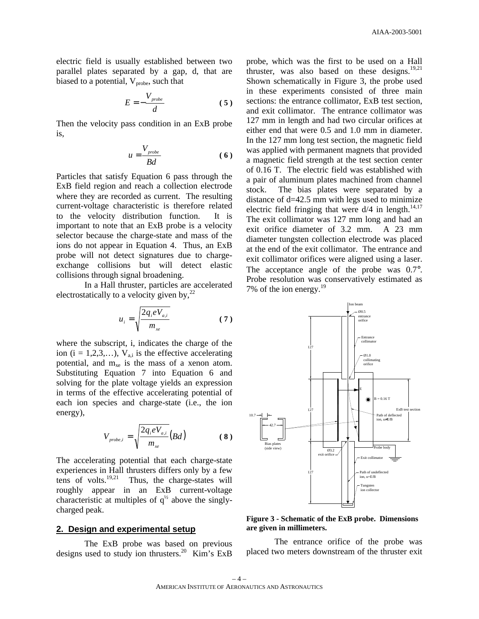electric field is usually established between two parallel plates separated by a gap, d, that are biased to a potential,  $V_{\text{probe}}$ , such that

$$
E = -\frac{V_{\text{probe}}}{d} \tag{5}
$$

Then the velocity pass condition in an ExB probe is,

$$
u = \frac{V_{\text{probe}}}{Bd} \tag{6}
$$

Particles that satisfy Equation 6 pass through the ExB field region and reach a collection electrode where they are recorded as current. The resulting current-voltage characteristic is therefore related to the velocity distribution function. It is important to note that an ExB probe is a velocity selector because the charge-state and mass of the ions do not appear in Equation 4. Thus, an ExB probe will not detect signatures due to chargeexchange collisions but will detect elastic collisions through signal broadening.

In a Hall thruster, particles are accelerated electrostatically to a velocity given by,  $2^2$ 

$$
u_i = \sqrt{\frac{2q_i eV_{a,i}}{m_{xe}}}
$$
 (7)

where the subscript, i, indicates the charge of the ion (i = 1,2,3,...),  $V_{a,i}$  is the effective accelerating potential, and  $m_{xe}$  is the mass of a xenon atom. Substituting Equation 7 into Equation 6 and solving for the plate voltage yields an expression in terms of the effective accelerating potential of each ion species and charge-state (i.e., the ion energy),

$$
V_{\text{probe},i} = \sqrt{\frac{2q_i eV_{a,i}}{m_{xe}}}(Bd)
$$
 (8)

The accelerating potential that each charge-state experiences in Hall thrusters differs only by a few tens of volts. $19,21$  Thus, the charge-states will roughly appear in an ExB current-voltage characteristic at multiples of  $q^{\frac{1}{2}}$  above the singlycharged peak.

## **2. Design and experimental setup**

The ExB probe was based on previous designs used to study ion thrusters.<sup>20</sup> Kim's ExB probe, which was the first to be used on a Hall thruster, was also based on these designs. $19,21$ Shown schematically in Figure 3, the probe used in these experiments consisted of three main sections: the entrance collimator, ExB test section, and exit collimator. The entrance collimator was 127 mm in length and had two circular orifices at either end that were 0.5 and 1.0 mm in diameter. In the 127 mm long test section, the magnetic field was applied with permanent magnets that provided a magnetic field strength at the test section center of 0.16 T. The electric field was established with a pair of aluminum plates machined from channel stock. The bias plates were separated by a distance of  $d=42.5$  mm with legs used to minimize electric field fringing that were  $d/4$  in length.<sup>14,17</sup> The exit collimator was 127 mm long and had an exit orifice diameter of 3.2 mm. A 23 mm diameter tungsten collection electrode was placed at the end of the exit collimator. The entrance and exit collimator orifices were aligned using a laser. The acceptance angle of the probe was  $0.7^{\circ}$ . Probe resolution was conservatively estimated as 7% of the ion energy.<sup>19</sup>



**Figure 3 - Schematic of the ExB probe. Dimensions are given in millimeters.**

The entrance orifice of the probe was placed two meters downstream of the thruster exit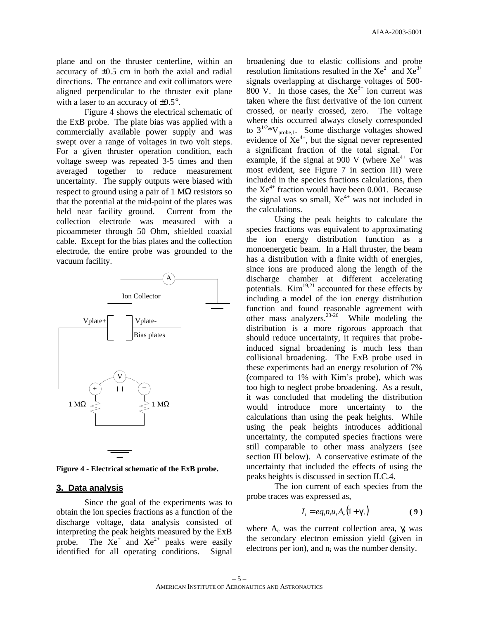plane and on the thruster centerline, within an accuracy of ±0.5 cm in both the axial and radial directions. The entrance and exit collimators were aligned perpendicular to the thruster exit plane with a laser to an accuracy of  $\pm 0.5^{\circ}$ .

Figure 4 shows the electrical schematic of the ExB probe. The plate bias was applied with a commercially available power supply and was swept over a range of voltages in two volt steps. For a given thruster operation condition, each voltage sweep was repeated 3-5 times and then averaged together to reduce measurement uncertainty. The supply outputs were biased with respect to ground using a pair of 1  $\text{M}\Omega$  resistors so that the potential at the mid-point of the plates was held near facility ground. Current from the collection electrode was measured with a picoammeter through 50 Ohm, shielded coaxial cable. Except for the bias plates and the collection electrode, the entire probe was grounded to the vacuum facility.



**Figure 4 - Electrical schematic of the ExB probe.** 

#### **3. Data analysis**

Since the goal of the experiments was to obtain the ion species fractions as a function of the discharge voltage, data analysis consisted of interpreting the peak heights measured by the ExB probe. The  $Xe^{+}$  and  $Xe^{2+}$  peaks were easily identified for all operating conditions. Signal

broadening due to elastic collisions and probe resolution limitations resulted in the  $Xe^{2+}$  and  $Xe^{3+}$ signals overlapping at discharge voltages of 500- 800 V. In those cases, the  $Xe^{3+}$  ion current was taken where the first derivative of the ion current crossed, or nearly crossed, zero. The voltage where this occurred always closely corresponded to  $3^{1/2}$ \*V<sub>probe,1</sub>. Some discharge voltages showed evidence of  $Xe^{4+}$ , but the signal never represented a significant fraction of the total signal. For example, if the signal at 900 V (where  $Xe^{4+}$  was most evident, see Figure 7 in section III) were included in the species fractions calculations, then the  $Xe^{4+}$  fraction would have been 0.001. Because the signal was so small,  $Xe^{4+}$  was not included in the calculations.

Using the peak heights to calculate the species fractions was equivalent to approximating the ion energy distribution function as a monoenergetic beam. In a Hall thruster, the beam has a distribution with a finite width of energies, since ions are produced along the length of the discharge chamber at different accelerating potentials.  $Kim^{19,21}$  accounted for these effects by including a model of the ion energy distribution function and found reasonable agreement with other mass analyzers. $23-26$  While modeling the distribution is a more rigorous approach that should reduce uncertainty, it requires that probeinduced signal broadening is much less than collisional broadening. The ExB probe used in these experiments had an energy resolution of 7% (compared to 1% with Kim's probe), which was too high to neglect probe broadening. As a result, it was concluded that modeling the distribution would introduce more uncertainty to the calculations than using the peak heights. While using the peak heights introduces additional uncertainty, the computed species fractions were still comparable to other mass analyzers (see section III below). A conservative estimate of the uncertainty that included the effects of using the peaks heights is discussed in section II.C.4.

The ion current of each species from the probe traces was expressed as,

$$
I_i = eq_i n_i u_i A_c (1 + \boldsymbol{g}_i)
$$
 (9)

where  $A_c$  was the current collection area,  $\gamma_i$  was the secondary electron emission yield (given in electrons per ion), and  $n_i$  was the number density.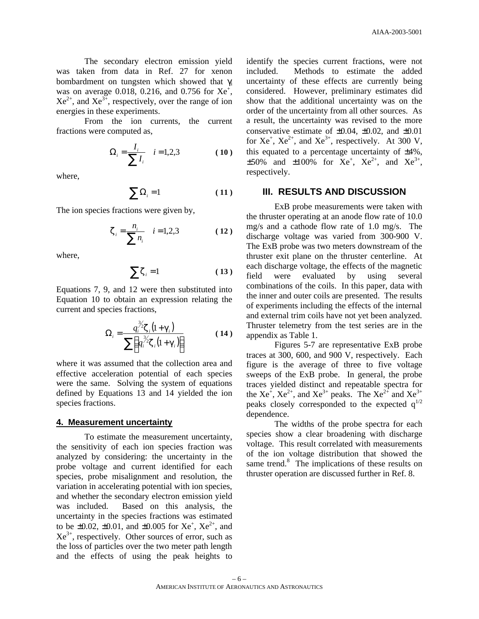The secondary electron emission yield was taken from data in Ref. 27 for xenon bombardment on tungsten which showed that  $\gamma$ <sub>i</sub> was on average 0.018, 0.216, and 0.756 for  $Xe^{+}$ ,  $Xe^{2+}$ , and  $Xe^{3+}$ , respectively, over the range of ion energies in these experiments.

From the ion currents, the current fractions were computed as,

$$
\Omega_i = \frac{I_i}{\sum I_i} \quad i = 1, 2, 3 \tag{10}
$$

where,

$$
\sum \Omega_i = 1 \tag{11}
$$

The ion species fractions were given by,

$$
z_i = \frac{n_i}{\sum n_i} \quad i = 1, 2, 3 \tag{12}
$$

where,

$$
\sum z_i = 1 \tag{13}
$$

Equations 7, 9, and 12 were then substituted into Equation 10 to obtain an expression relating the current and species fractions,

$$
\Omega_i = \frac{q_i^{\frac{3}{2}} \mathbf{z}_i (1 + \mathbf{g}_i)}{\sum \left( q_i^{\frac{3}{2}} \mathbf{z}_i (1 + \mathbf{g}_i) \right)}
$$
(14)

where it was assumed that the collection area and effective acceleration potential of each species were the same. Solving the system of equations defined by Equations 13 and 14 yielded the ion species fractions.

#### **4. Measurement uncertainty**

To estimate the measurement uncertainty, the sensitivity of each ion species fraction was analyzed by considering: the uncertainty in the probe voltage and current identified for each species, probe misalignment and resolution, the variation in accelerating potential with ion species, and whether the secondary electron emission yield was included. Based on this analysis, the uncertainty in the species fractions was estimated to be  $\pm 0.02$ ,  $\pm 0.01$ , and  $\pm 0.005$  for Xe<sup>+</sup>, Xe<sup>2+</sup>, and  $Xe^{3+}$ , respectively. Other sources of error, such as the loss of particles over the two meter path length and the effects of using the peak heights to

identify the species current fractions, were not included. Methods to estimate the added uncertainty of these effects are currently being considered. However, preliminary estimates did show that the additional uncertainty was on the order of the uncertainty from all other sources. As a result, the uncertainty was revised to the more conservative estimate of  $\pm 0.04$ ,  $\pm 0.02$ , and  $\pm 0.01$ for  $Xe^{+}$ ,  $Xe^{2+}$ , and  $Xe^{3+}$ , respectively. At 300 V, this equated to a percentage uncertainty of ±4%,  $\pm 50\%$  and  $\pm 100\%$  for Xe<sup>+</sup>, Xe<sup>2+</sup>, and Xe<sup>3+</sup>, respectively.

### **III. RESULTS AND DISCUSSION**

ExB probe measurements were taken with the thruster operating at an anode flow rate of 10.0 mg/s and a cathode flow rate of 1.0 mg/s. The discharge voltage was varied from 300-900 V. The ExB probe was two meters downstream of the thruster exit plane on the thruster centerline. At each discharge voltage, the effects of the magnetic field were evaluated by using several combinations of the coils. In this paper, data with the inner and outer coils are presented. The results of experiments including the effects of the internal and external trim coils have not yet been analyzed. Thruster telemetry from the test series are in the appendix as Table 1.

Figures 5-7 are representative ExB probe traces at 300, 600, and 900 V, respectively. Each figure is the average of three to five voltage sweeps of the ExB probe. In general, the probe traces yielded distinct and repeatable spectra for the  $Xe^{2}$ ,  $Xe^{2+}$ , and  $Xe^{3+}$  peaks. The  $Xe^{2+}$  and  $Xe^{3+}$ peaks closely corresponded to the expected  $q^{1/2}$ dependence.

The widths of the probe spectra for each species show a clear broadening with discharge voltage. This result correlated with measurements of the ion voltage distribution that showed the same trend.<sup>8</sup> The implications of these results on thruster operation are discussed further in Ref. 8.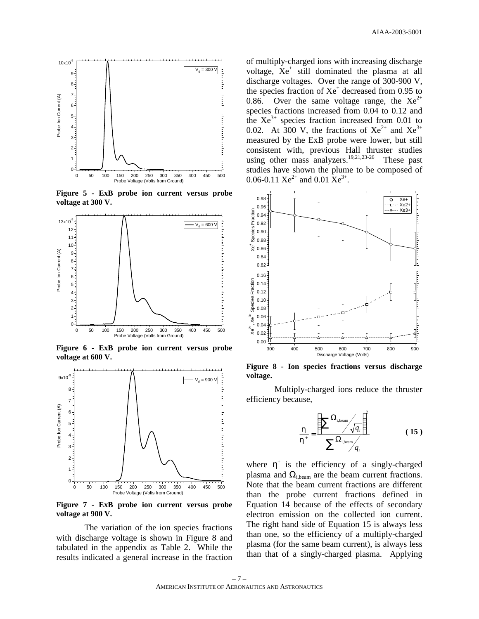

**Figure 5 - ExB probe ion current versus probe voltage at 300 V.**



**Figure 6 - ExB probe ion current versus probe voltage at 600 V.**



**Figure 7 - ExB probe ion current versus probe voltage at 900 V.**

The variation of the ion species fractions with discharge voltage is shown in Figure 8 and tabulated in the appendix as Table 2. While the results indicated a general increase in the fraction

of multiply-charged ions with increasing discharge voltage, Xe<sup>+</sup> still dominated the plasma at all discharge voltages. Over the range of 300-900 V, the species fraction of  $Xe^+$  decreased from 0.95 to 0.86. Over the same voltage range, the  $Xe^{2+}$ species fractions increased from 0.04 to 0.12 and the  $Xe^{3+}$  species fraction increased from 0.01 to 0.02. At 300 V, the fractions of  $Xe^{2+}$  and  $Xe^{3+}$ measured by the ExB probe were lower, but still consistent with, previous Hall thruster studies using other mass analyzers.<sup>19,21,23-26</sup> These past studies have shown the plume to be composed of 0.06-0.11  $Xe^{2+}$  and 0.01  $Xe^{3+}$ .



**Figure 8 - Ion species fractions versus discharge voltage.** 

Multiply-charged ions reduce the thruster efficiency because,

$$
\frac{\boldsymbol{h}}{\boldsymbol{h}^*} = \frac{\left(\sum_{i,\text{beam}} \frac{\Omega_{i,\text{beam}}}{\sqrt{q_i}}\right)^2}{\sum_{i,\text{beam}} \frac{\Omega_{i,\text{beam}}}{q_i}}
$$
(15)

where  $\eta^+$  is the efficiency of a singly-charged plasma and  $\Omega_{i,\text{beam}}$  are the beam current fractions. Note that the beam current fractions are different than the probe current fractions defined in Equation 14 because of the effects of secondary electron emission on the collected ion current. The right hand side of Equation 15 is always less than one, so the efficiency of a multiply-charged plasma (for the same beam current), is always less than that of a singly-charged plasma. Applying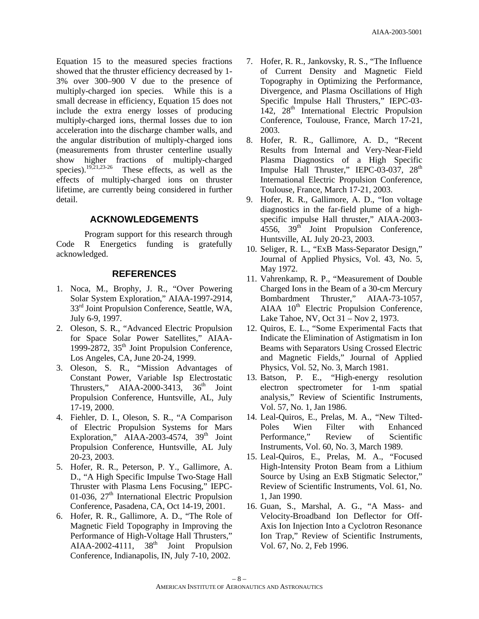Equation 15 to the measured species fractions showed that the thruster efficiency decreased by 1- 3% over 300–900 V due to the presence of multiply-charged ion species. While this is a small decrease in efficiency, Equation 15 does not include the extra energy losses of producing multiply-charged ions, thermal losses due to ion acceleration into the discharge chamber walls, and the angular distribution of multiply-charged ions (measurements from thruster centerline usually show higher fractions of multiply-charged species).<sup>19,21,23-26</sup> These effects, as well as the These effects, as well as the effects of multiply-charged ions on thruster lifetime, are currently being considered in further detail.

# **ACKNOWLEDGEMENTS**

Program support for this research through Code R Energetics funding is gratefully acknowledged.

# **REFERENCES**

- 1. Noca, M., Brophy, J. R., "Over Powering Solar System Exploration," AIAA-1997-2914, 33<sup>rd</sup> Joint Propulsion Conference, Seattle, WA, July 6-9, 1997.
- 2. Oleson, S. R., "Advanced Electric Propulsion for Space Solar Power Satellites," AIAA-1999-2872,  $35<sup>th</sup>$  Joint Propulsion Conference, Los Angeles, CA, June 20-24, 1999.
- 3. Oleson, S. R., "Mission Advantages of Constant Power, Variable Isp Electrostatic Thrusters," AIAA-2000-3413,  $36<sup>th</sup>$  Joint Propulsion Conference, Huntsville, AL, July 17-19, 2000.
- 4. Fiehler, D. I., Oleson, S. R., "A Comparison of Electric Propulsion Systems for Mars Exploration,"  $AIAA-2003-4574$ ,  $39<sup>th</sup>$  Joint Propulsion Conference, Huntsville, AL July 20-23, 2003.
- 5. Hofer, R. R., Peterson, P. Y., Gallimore, A. D., "A High Specific Impulse Two-Stage Hall Thruster with Plasma Lens Focusing," IEPC-01-036,  $27<sup>th</sup>$  International Electric Propulsion Conference, Pasadena, CA, Oct 14-19, 2001.
- 6. Hofer, R. R., Gallimore, A. D., "The Role of Magnetic Field Topography in Improving the Performance of High-Voltage Hall Thrusters," AIAA-2002-4111,  $38<sup>th</sup>$  Joint Propulsion Conference, Indianapolis, IN, July 7-10, 2002.
- 7. Hofer, R. R., Jankovsky, R. S., "The Influence of Current Density and Magnetic Field Topography in Optimizing the Performance, Divergence, and Plasma Oscillations of High Specific Impulse Hall Thrusters," IEPC-03-  $142$ ,  $28<sup>th</sup>$  International Electric Propulsion Conference, Toulouse, France, March 17-21, 2003.
- 8. Hofer, R. R., Gallimore, A. D., "Recent Results from Internal and Very-Near-Field Plasma Diagnostics of a High Specific Impulse Hall Thruster," IEPC-03-037, 28<sup>th</sup> International Electric Propulsion Conference, Toulouse, France, March 17-21, 2003.
- 9. Hofer, R. R., Gallimore, A. D., "Ion voltage diagnostics in the far-field plume of a highspecific impulse Hall thruster," AIAA-2003- 4556, 39<sup>th</sup> Joint Propulsion Conference, Huntsville, AL July 20-23, 2003.
- 10. Seliger, R. L., "ExB Mass-Separator Design," Journal of Applied Physics, Vol. 43, No. 5, May 1972.
- 11. Vahrenkamp, R. P., "Measurement of Double Charged Ions in the Beam of a 30-cm Mercury Bombardment Thruster," AIAA-73-1057,  $AIAA$   $10<sup>th</sup>$  Electric Propulsion Conference, Lake Tahoe, NV, Oct 31 – Nov 2, 1973.
- 12. Quiros, E. L., "Some Experimental Facts that Indicate the Elimination of Astigmatism in Ion Beams with Separators Using Crossed Electric and Magnetic Fields," Journal of Applied Physics, Vol. 52, No. 3, March 1981.
- 13. Batson, P. E., "High-energy resolution electron spectrometer for 1-nm spatial analysis," Review of Scientific Instruments, Vol. 57, No. 1, Jan 1986.
- 14. Leal-Quiros, E., Prelas, M. A., "New Tilted-Poles Wien Filter with Enhanced Performance," Review of Scientific Instruments, Vol. 60, No. 3, March 1989.
- 15. Leal-Quiros, E., Prelas, M. A., "Focused High-Intensity Proton Beam from a Lithium Source by Using an ExB Stigmatic Selector," Review of Scientific Instruments, Vol. 61, No. 1, Jan 1990.
- 16. Guan, S., Marshal, A. G., "A Mass- and Velocity-Broadband Ion Deflector for Off-Axis Ion Injection Into a Cyclotron Resonance Ion Trap," Review of Scientific Instruments, Vol. 67, No. 2, Feb 1996.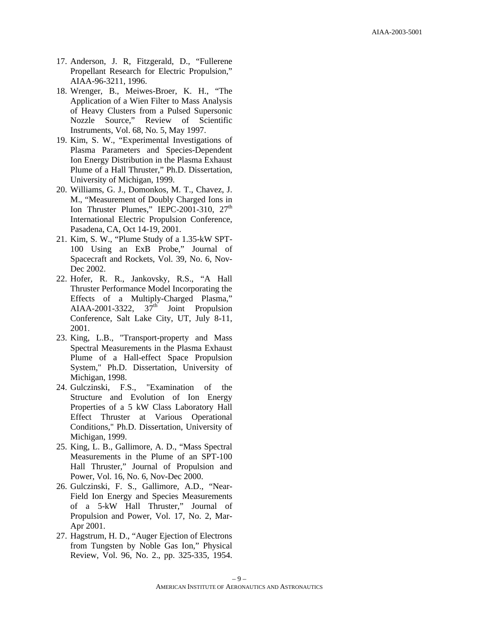- 17. Anderson, J. R, Fitzgerald, D., "Fullerene Propellant Research for Electric Propulsion," AIAA-96-3211, 1996.
- 18. Wrenger, B., Meiwes-Broer, K. H., "The Application of a Wien Filter to Mass Analysis of Heavy Clusters from a Pulsed Supersonic Nozzle Source," Review of Scientific Instruments, Vol. 68, No. 5, May 1997.
- 19. Kim, S. W., "Experimental Investigations of Plasma Parameters and Species-Dependent Ion Energy Distribution in the Plasma Exhaust Plume of a Hall Thruster," Ph.D. Dissertation, University of Michigan, 1999.
- 20. Williams, G. J., Domonkos, M. T., Chavez, J. M., "Measurement of Doubly Charged Ions in Ion Thruster Plumes," IEPC-2001-310,  $27<sup>th</sup>$ International Electric Propulsion Conference, Pasadena, CA, Oct 14-19, 2001.
- 21. Kim, S. W., "Plume Study of a 1.35-kW SPT-100 Using an ExB Probe," Journal of Spacecraft and Rockets, Vol. 39, No. 6, Nov-Dec 2002.
- 22. Hofer, R. R., Jankovsky, R.S., "A Hall Thruster Performance Model Incorporating the Effects of a Multiply-Charged Plasma," AIAA-2001-3322,  $37<sup>th</sup>$  Joint Propulsion Conference, Salt Lake City, UT, July 8-11, 2001.
- 23. King, L.B., "Transport-property and Mass Spectral Measurements in the Plasma Exhaust Plume of a Hall-effect Space Propulsion System," Ph.D. Dissertation, University of Michigan, 1998.
- 24. Gulczinski, F.S., "Examination of the Structure and Evolution of Ion Energy Properties of a 5 kW Class Laboratory Hall Effect Thruster at Various Operational Conditions," Ph.D. Dissertation, University of Michigan, 1999.
- 25. King, L. B., Gallimore, A. D., "Mass Spectral Measurements in the Plume of an SPT-100 Hall Thruster," Journal of Propulsion and Power, Vol. 16, No. 6, Nov-Dec 2000.
- 26. Gulczinski, F. S., Gallimore, A.D., "Near-Field Ion Energy and Species Measurements of a 5-kW Hall Thruster," Journal of Propulsion and Power, Vol. 17, No. 2, Mar-Apr 2001.
- 27. Hagstrum, H. D., "Auger Ejection of Electrons from Tungsten by Noble Gas Ion," Physical Review, Vol. 96, No. 2., pp. 325-335, 1954.